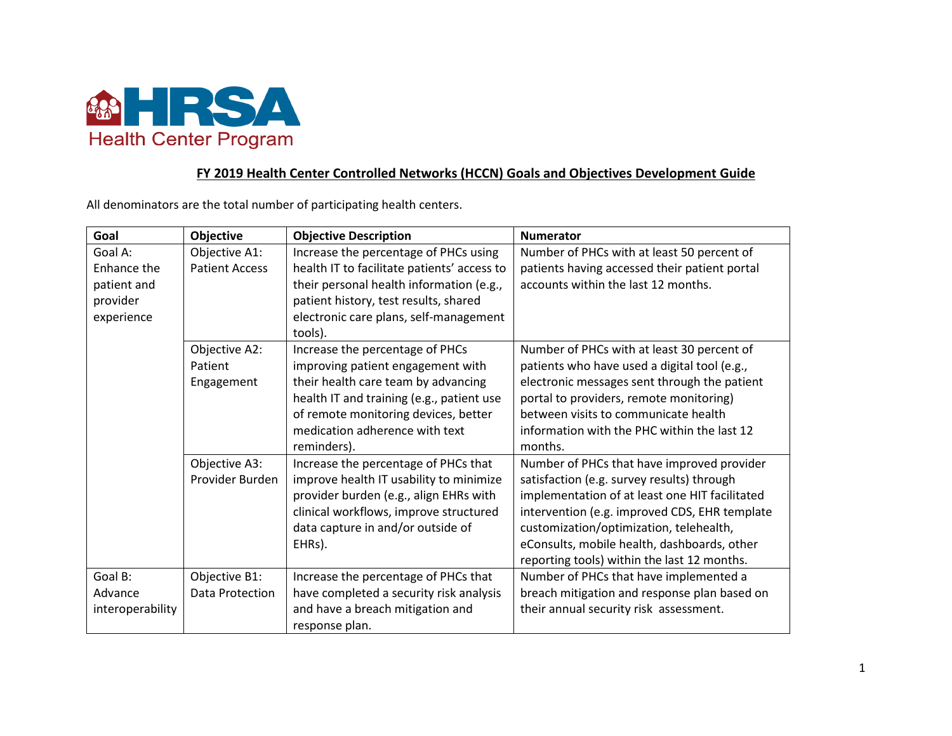

## **FY 2019 Health Center Controlled Networks (HCCN) Goals and Objectives Development Guide**

All denominators are the total number of participating health centers.

| Goal             | Objective             | <b>Objective Description</b>                | <b>Numerator</b>                               |
|------------------|-----------------------|---------------------------------------------|------------------------------------------------|
| Goal A:          | Objective A1:         | Increase the percentage of PHCs using       | Number of PHCs with at least 50 percent of     |
| Enhance the      | <b>Patient Access</b> | health IT to facilitate patients' access to | patients having accessed their patient portal  |
| patient and      |                       | their personal health information (e.g.,    | accounts within the last 12 months.            |
| provider         |                       | patient history, test results, shared       |                                                |
| experience       |                       | electronic care plans, self-management      |                                                |
|                  |                       | tools).                                     |                                                |
|                  | Objective A2:         | Increase the percentage of PHCs             | Number of PHCs with at least 30 percent of     |
|                  | Patient               | improving patient engagement with           | patients who have used a digital tool (e.g.,   |
|                  | Engagement            | their health care team by advancing         | electronic messages sent through the patient   |
|                  |                       | health IT and training (e.g., patient use   | portal to providers, remote monitoring)        |
|                  |                       | of remote monitoring devices, better        | between visits to communicate health           |
|                  |                       | medication adherence with text              | information with the PHC within the last 12    |
|                  |                       | reminders).                                 | months.                                        |
|                  | Objective A3:         | Increase the percentage of PHCs that        | Number of PHCs that have improved provider     |
|                  | Provider Burden       | improve health IT usability to minimize     | satisfaction (e.g. survey results) through     |
|                  |                       | provider burden (e.g., align EHRs with      | implementation of at least one HIT facilitated |
|                  |                       | clinical workflows, improve structured      | intervention (e.g. improved CDS, EHR template  |
|                  |                       | data capture in and/or outside of           | customization/optimization, telehealth,        |
|                  |                       | EHRs).                                      | eConsults, mobile health, dashboards, other    |
|                  |                       |                                             | reporting tools) within the last 12 months.    |
| Goal B:          | Objective B1:         | Increase the percentage of PHCs that        | Number of PHCs that have implemented a         |
| Advance          | Data Protection       | have completed a security risk analysis     | breach mitigation and response plan based on   |
| interoperability |                       | and have a breach mitigation and            | their annual security risk assessment.         |
|                  |                       | response plan.                              |                                                |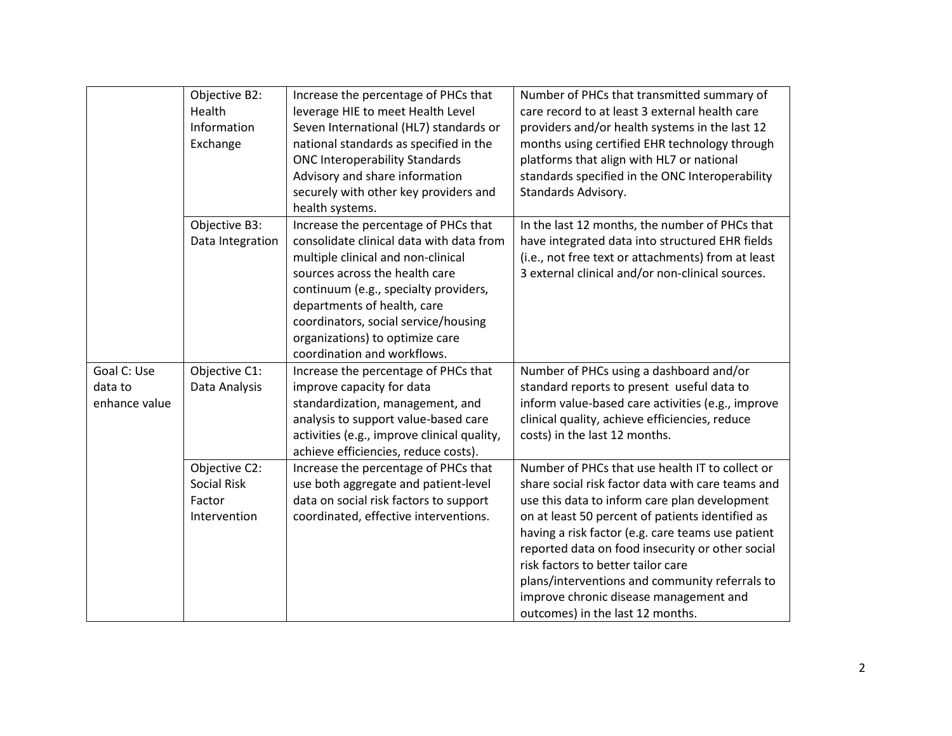|                                         | Objective B2:<br>Health<br>Information<br>Exchange            | Increase the percentage of PHCs that<br>leverage HIE to meet Health Level<br>Seven International (HL7) standards or<br>national standards as specified in the<br><b>ONC Interoperability Standards</b><br>Advisory and share information<br>securely with other key providers and<br>health systems.                                       | Number of PHCs that transmitted summary of<br>care record to at least 3 external health care<br>providers and/or health systems in the last 12<br>months using certified EHR technology through<br>platforms that align with HL7 or national<br>standards specified in the ONC Interoperability<br>Standards Advisory.                                                                                                                                                                   |
|-----------------------------------------|---------------------------------------------------------------|--------------------------------------------------------------------------------------------------------------------------------------------------------------------------------------------------------------------------------------------------------------------------------------------------------------------------------------------|------------------------------------------------------------------------------------------------------------------------------------------------------------------------------------------------------------------------------------------------------------------------------------------------------------------------------------------------------------------------------------------------------------------------------------------------------------------------------------------|
|                                         | Objective B3:<br>Data Integration                             | Increase the percentage of PHCs that<br>consolidate clinical data with data from<br>multiple clinical and non-clinical<br>sources across the health care<br>continuum (e.g., specialty providers,<br>departments of health, care<br>coordinators, social service/housing<br>organizations) to optimize care<br>coordination and workflows. | In the last 12 months, the number of PHCs that<br>have integrated data into structured EHR fields<br>(i.e., not free text or attachments) from at least<br>3 external clinical and/or non-clinical sources.                                                                                                                                                                                                                                                                              |
| Goal C: Use<br>data to<br>enhance value | Objective C1:<br>Data Analysis                                | Increase the percentage of PHCs that<br>improve capacity for data<br>standardization, management, and<br>analysis to support value-based care<br>activities (e.g., improve clinical quality,<br>achieve efficiencies, reduce costs).                                                                                                       | Number of PHCs using a dashboard and/or<br>standard reports to present useful data to<br>inform value-based care activities (e.g., improve<br>clinical quality, achieve efficiencies, reduce<br>costs) in the last 12 months.                                                                                                                                                                                                                                                            |
|                                         | Objective C2:<br><b>Social Risk</b><br>Factor<br>Intervention | Increase the percentage of PHCs that<br>use both aggregate and patient-level<br>data on social risk factors to support<br>coordinated, effective interventions.                                                                                                                                                                            | Number of PHCs that use health IT to collect or<br>share social risk factor data with care teams and<br>use this data to inform care plan development<br>on at least 50 percent of patients identified as<br>having a risk factor (e.g. care teams use patient<br>reported data on food insecurity or other social<br>risk factors to better tailor care<br>plans/interventions and community referrals to<br>improve chronic disease management and<br>outcomes) in the last 12 months. |